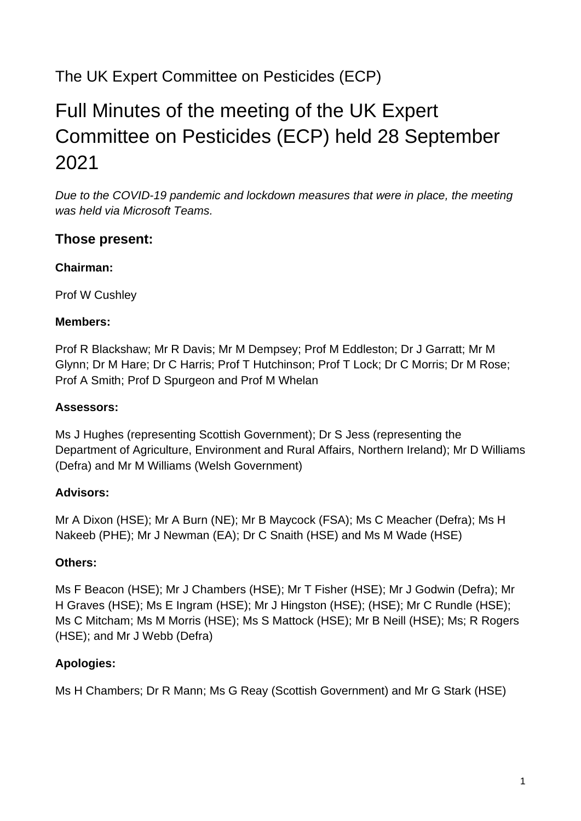# The UK Expert Committee on Pesticides (ECP)

# Full Minutes of the meeting of the UK Expert Committee on Pesticides (ECP) held 28 September 2021

*Due to the COVID-19 pandemic and lockdown measures that were in place, the meeting was held via Microsoft Teams.*

### **Those present:**

### **Chairman:**

Prof W Cushley

### **Members:**

Prof R Blackshaw; Mr R Davis; Mr M Dempsey; Prof M Eddleston; Dr J Garratt; Mr M Glynn; Dr M Hare; Dr C Harris; Prof T Hutchinson; Prof T Lock; Dr C Morris; Dr M Rose; Prof A Smith; Prof D Spurgeon and Prof M Whelan

### **Assessors:**

Ms J Hughes (representing Scottish Government); Dr S Jess (representing the Department of Agriculture, Environment and Rural Affairs, Northern Ireland); Mr D Williams (Defra) and Mr M Williams (Welsh Government)

### **Advisors:**

Mr A Dixon (HSE); Mr A Burn (NE); Mr B Maycock (FSA); Ms C Meacher (Defra); Ms H Nakeeb (PHE); Mr J Newman (EA); Dr C Snaith (HSE) and Ms M Wade (HSE)

### **Others:**

Ms F Beacon (HSE); Mr J Chambers (HSE); Mr T Fisher (HSE); Mr J Godwin (Defra); Mr H Graves (HSE); Ms E Ingram (HSE); Mr J Hingston (HSE); (HSE); Mr C Rundle (HSE); Ms C Mitcham; Ms M Morris (HSE); Ms S Mattock (HSE); Mr B Neill (HSE); Ms; R Rogers (HSE); and Mr J Webb (Defra)

### **Apologies:**

Ms H Chambers; Dr R Mann; Ms G Reay (Scottish Government) and Mr G Stark (HSE)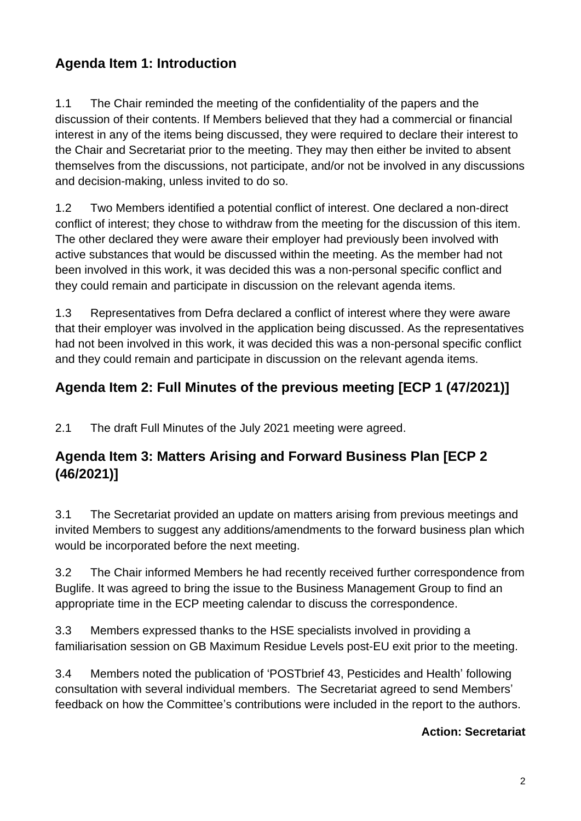# **Agenda Item 1: Introduction**

1.1 The Chair reminded the meeting of the confidentiality of the papers and the discussion of their contents. If Members believed that they had a commercial or financial interest in any of the items being discussed, they were required to declare their interest to the Chair and Secretariat prior to the meeting. They may then either be invited to absent themselves from the discussions, not participate, and/or not be involved in any discussions and decision-making, unless invited to do so.

1.2 Two Members identified a potential conflict of interest. One declared a non-direct conflict of interest; they chose to withdraw from the meeting for the discussion of this item. The other declared they were aware their employer had previously been involved with active substances that would be discussed within the meeting. As the member had not been involved in this work, it was decided this was a non-personal specific conflict and they could remain and participate in discussion on the relevant agenda items.

1.3 Representatives from Defra declared a conflict of interest where they were aware that their employer was involved in the application being discussed. As the representatives had not been involved in this work, it was decided this was a non-personal specific conflict and they could remain and participate in discussion on the relevant agenda items.

# **Agenda Item 2: Full Minutes of the previous meeting [ECP 1 (47/2021)]**

2.1 The draft Full Minutes of the July 2021 meeting were agreed.

# **Agenda Item 3: Matters Arising and Forward Business Plan [ECP 2 (46/2021)]**

3.1 The Secretariat provided an update on matters arising from previous meetings and invited Members to suggest any additions/amendments to the forward business plan which would be incorporated before the next meeting.

3.2 The Chair informed Members he had recently received further correspondence from Buglife. It was agreed to bring the issue to the Business Management Group to find an appropriate time in the ECP meeting calendar to discuss the correspondence.

3.3 Members expressed thanks to the HSE specialists involved in providing a familiarisation session on GB Maximum Residue Levels post-EU exit prior to the meeting.

3.4 Members noted the publication of 'POSTbrief 43, Pesticides and Health' following consultation with several individual members. The Secretariat agreed to send Members' feedback on how the Committee's contributions were included in the report to the authors.

### **Action: Secretariat**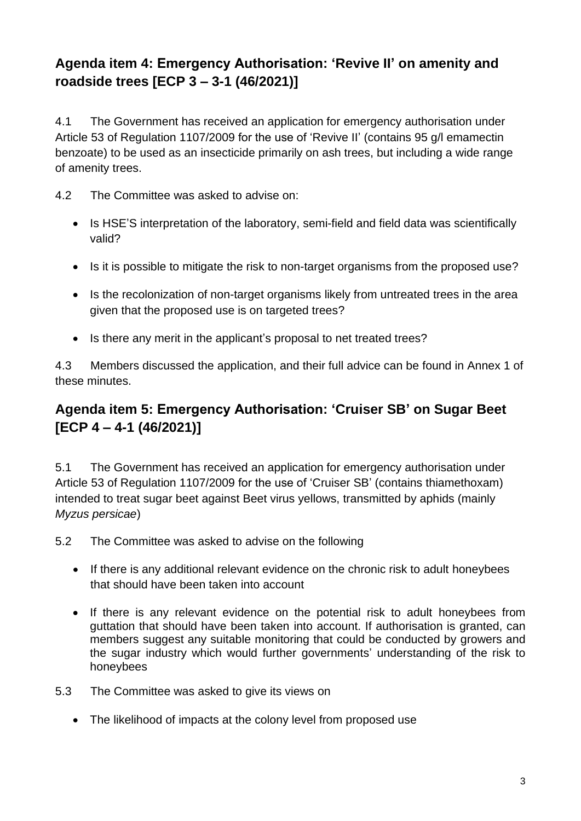# **Agenda item 4: Emergency Authorisation: 'Revive II' on amenity and roadside trees [ECP 3 – 3-1 (46/2021)]**

4.1 The Government has received an application for emergency authorisation under Article 53 of Regulation 1107/2009 for the use of 'Revive II' (contains 95 g/l emamectin benzoate) to be used as an insecticide primarily on ash trees, but including a wide range of amenity trees.

4.2 The Committee was asked to advise on:

- Is HSE'S interpretation of the laboratory, semi-field and field data was scientifically valid?
- Is it is possible to mitigate the risk to non-target organisms from the proposed use?
- Is the recolonization of non-target organisms likely from untreated trees in the area given that the proposed use is on targeted trees?
- Is there any merit in the applicant's proposal to net treated trees?

4.3 Members discussed the application, and their full advice can be found in Annex 1 of these minutes.

# **Agenda item 5: Emergency Authorisation: 'Cruiser SB' on Sugar Beet [ECP 4 – 4-1 (46/2021)]**

5.1 The Government has received an application for emergency authorisation under Article 53 of Regulation 1107/2009 for the use of 'Cruiser SB' (contains thiamethoxam) intended to treat sugar beet against Beet virus yellows, transmitted by aphids (mainly *Myzus persicae*)

- 5.2 The Committee was asked to advise on the following
	- If there is any additional relevant evidence on the chronic risk to adult honeybees that should have been taken into account
	- If there is any relevant evidence on the potential risk to adult honeybees from guttation that should have been taken into account. If authorisation is granted, can members suggest any suitable monitoring that could be conducted by growers and the sugar industry which would further governments' understanding of the risk to honeybees
- 5.3 The Committee was asked to give its views on
	- The likelihood of impacts at the colony level from proposed use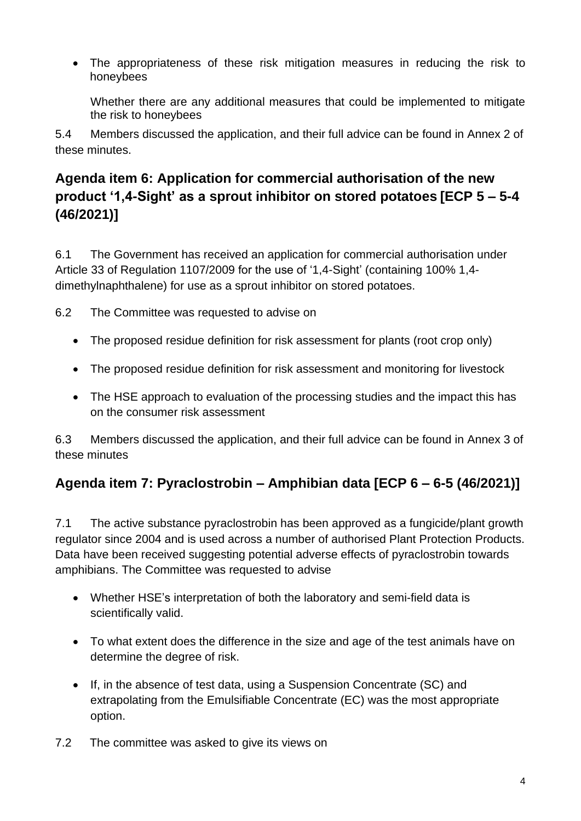• The appropriateness of these risk mitigation measures in reducing the risk to honeybees

Whether there are any additional measures that could be implemented to mitigate the risk to honeybees

5.4 Members discussed the application, and their full advice can be found in Annex 2 of these minutes.

# **Agenda item 6: Application for commercial authorisation of the new product '1,4-Sight' as a sprout inhibitor on stored potatoes [ECP 5 – 5-4 (46/2021)]**

6.1 The Government has received an application for commercial authorisation under Article 33 of Regulation 1107/2009 for the use of '1,4-Sight' (containing 100% 1,4 dimethylnaphthalene) for use as a sprout inhibitor on stored potatoes.

6.2 The Committee was requested to advise on

- The proposed residue definition for risk assessment for plants (root crop only)
- The proposed residue definition for risk assessment and monitoring for livestock
- The HSE approach to evaluation of the processing studies and the impact this has on the consumer risk assessment

6.3 Members discussed the application, and their full advice can be found in Annex 3 of these minutes

# **Agenda item 7: Pyraclostrobin – Amphibian data [ECP 6 – 6-5 (46/2021)]**

7.1 The active substance pyraclostrobin has been approved as a fungicide/plant growth regulator since 2004 and is used across a number of authorised Plant Protection Products. Data have been received suggesting potential adverse effects of pyraclostrobin towards amphibians. The Committee was requested to advise

- Whether HSE's interpretation of both the laboratory and semi-field data is scientifically valid.
- To what extent does the difference in the size and age of the test animals have on determine the degree of risk.
- If, in the absence of test data, using a Suspension Concentrate (SC) and extrapolating from the Emulsifiable Concentrate (EC) was the most appropriate option.
- 7.2 The committee was asked to give its views on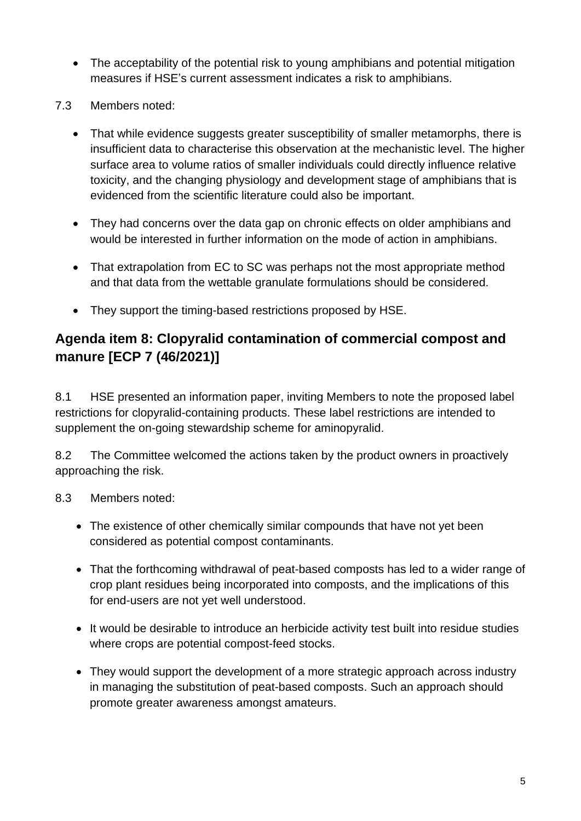- The acceptability of the potential risk to young amphibians and potential mitigation measures if HSE's current assessment indicates a risk to amphibians.
- 7.3 Members noted:
	- That while evidence suggests greater susceptibility of smaller metamorphs, there is insufficient data to characterise this observation at the mechanistic level. The higher surface area to volume ratios of smaller individuals could directly influence relative toxicity, and the changing physiology and development stage of amphibians that is evidenced from the scientific literature could also be important.
	- They had concerns over the data gap on chronic effects on older amphibians and would be interested in further information on the mode of action in amphibians.
	- That extrapolation from EC to SC was perhaps not the most appropriate method and that data from the wettable granulate formulations should be considered.
	- They support the timing-based restrictions proposed by HSE.

# **Agenda item 8: Clopyralid contamination of commercial compost and manure [ECP 7 (46/2021)]**

8.1 HSE presented an information paper, inviting Members to note the proposed label restrictions for clopyralid-containing products. These label restrictions are intended to supplement the on-going stewardship scheme for aminopyralid.

8.2 The Committee welcomed the actions taken by the product owners in proactively approaching the risk.

- 8.3 Members noted:
	- The existence of other chemically similar compounds that have not yet been considered as potential compost contaminants.
	- That the forthcoming withdrawal of peat-based composts has led to a wider range of crop plant residues being incorporated into composts, and the implications of this for end-users are not yet well understood.
	- It would be desirable to introduce an herbicide activity test built into residue studies where crops are potential compost-feed stocks.
	- They would support the development of a more strategic approach across industry in managing the substitution of peat-based composts. Such an approach should promote greater awareness amongst amateurs.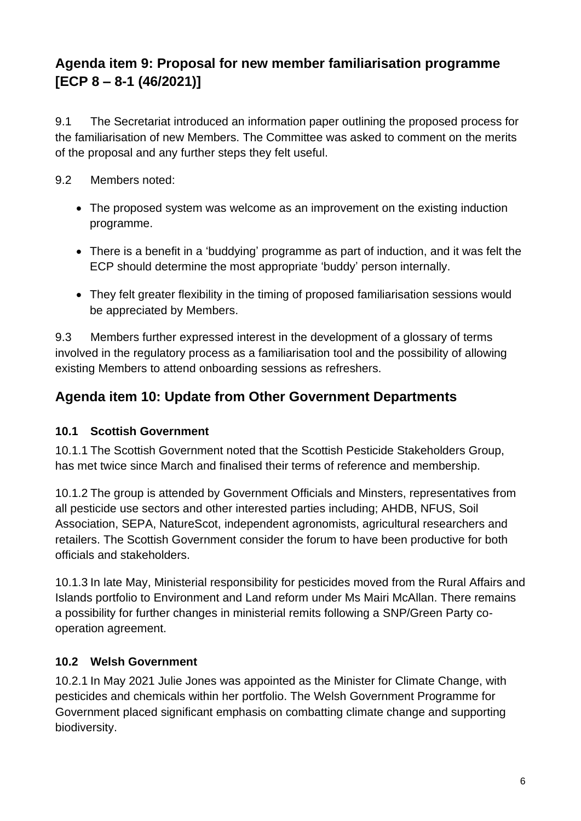# **Agenda item 9: Proposal for new member familiarisation programme [ECP 8 – 8-1 (46/2021)]**

9.1 The Secretariat introduced an information paper outlining the proposed process for the familiarisation of new Members. The Committee was asked to comment on the merits of the proposal and any further steps they felt useful.

- 9.2 Members noted:
	- The proposed system was welcome as an improvement on the existing induction programme.
	- There is a benefit in a 'buddying' programme as part of induction, and it was felt the ECP should determine the most appropriate 'buddy' person internally.
	- They felt greater flexibility in the timing of proposed familiarisation sessions would be appreciated by Members.

9.3 Members further expressed interest in the development of a glossary of terms involved in the regulatory process as a familiarisation tool and the possibility of allowing existing Members to attend onboarding sessions as refreshers.

# **Agenda item 10: Update from Other Government Departments**

### **10.1 Scottish Government**

10.1.1 The Scottish Government noted that the Scottish Pesticide Stakeholders Group, has met twice since March and finalised their terms of reference and membership.

10.1.2 The group is attended by Government Officials and Minsters, representatives from all pesticide use sectors and other interested parties including; AHDB, NFUS, Soil Association, SEPA, NatureScot, independent agronomists, agricultural researchers and retailers. The Scottish Government consider the forum to have been productive for both officials and stakeholders.

10.1.3 In late May, Ministerial responsibility for pesticides moved from the Rural Affairs and Islands portfolio to Environment and Land reform under Ms Mairi McAllan. There remains a possibility for further changes in ministerial remits following a SNP/Green Party cooperation agreement.

### **10.2 Welsh Government**

10.2.1 In May 2021 Julie Jones was appointed as the Minister for Climate Change, with pesticides and chemicals within her portfolio. The Welsh Government Programme for Government placed significant emphasis on combatting climate change and supporting biodiversity.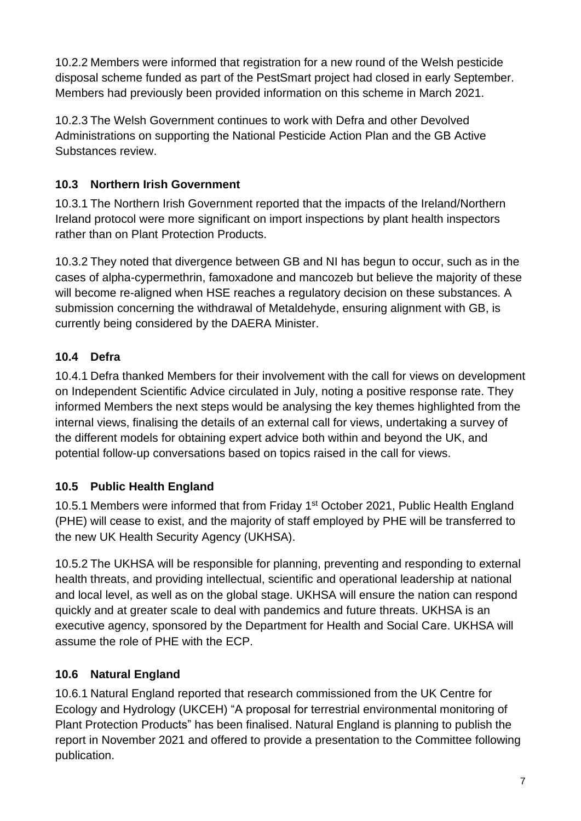10.2.2 Members were informed that registration for a new round of the Welsh pesticide disposal scheme funded as part of the PestSmart project had closed in early September. Members had previously been provided information on this scheme in March 2021.

10.2.3 The Welsh Government continues to work with Defra and other Devolved Administrations on supporting the National Pesticide Action Plan and the GB Active Substances review.

### **10.3 Northern Irish Government**

10.3.1 The Northern Irish Government reported that the impacts of the Ireland/Northern Ireland protocol were more significant on import inspections by plant health inspectors rather than on Plant Protection Products.

10.3.2 They noted that divergence between GB and NI has begun to occur, such as in the cases of alpha-cypermethrin, famoxadone and mancozeb but believe the majority of these will become re-aligned when HSE reaches a regulatory decision on these substances. A submission concerning the withdrawal of Metaldehyde, ensuring alignment with GB, is currently being considered by the DAERA Minister.

# **10.4 Defra**

10.4.1 Defra thanked Members for their involvement with the call for views on development on Independent Scientific Advice circulated in July, noting a positive response rate. They informed Members the next steps would be analysing the key themes highlighted from the internal views, finalising the details of an external call for views, undertaking a survey of the different models for obtaining expert advice both within and beyond the UK, and potential follow-up conversations based on topics raised in the call for views.

# **10.5 Public Health England**

10.5.1 Members were informed that from Friday 1st October 2021, Public Health England (PHE) will cease to exist, and the majority of staff employed by PHE will be transferred to the new UK Health Security Agency (UKHSA).

10.5.2 The UKHSA will be responsible for planning, preventing and responding to external health threats, and providing intellectual, scientific and operational leadership at national and local level, as well as on the global stage. UKHSA will ensure the nation can respond quickly and at greater scale to deal with pandemics and future threats. UKHSA is an executive agency, sponsored by the Department for Health and Social Care. UKHSA will assume the role of PHE with the ECP.

# **10.6 Natural England**

10.6.1 Natural England reported that research commissioned from the UK Centre for Ecology and Hydrology (UKCEH) "A proposal for terrestrial environmental monitoring of Plant Protection Products" has been finalised. Natural England is planning to publish the report in November 2021 and offered to provide a presentation to the Committee following publication.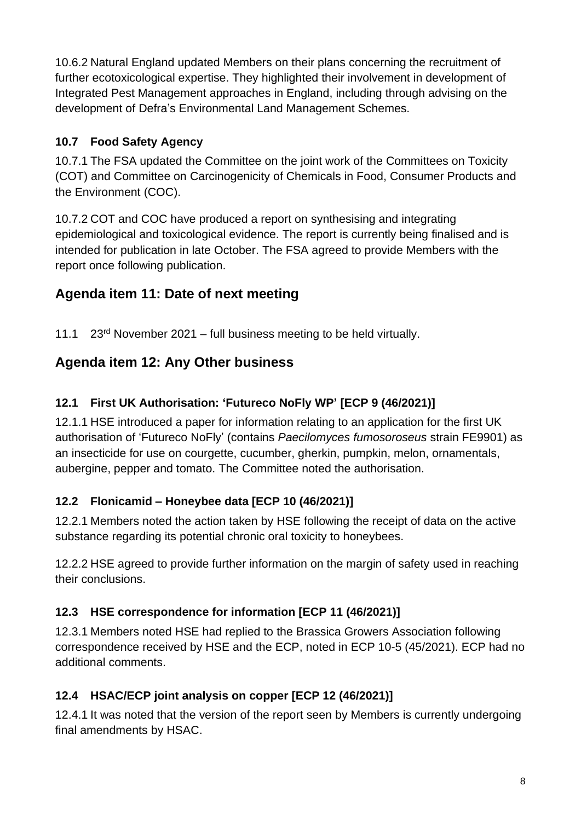10.6.2 Natural England updated Members on their plans concerning the recruitment of further ecotoxicological expertise. They highlighted their involvement in development of Integrated Pest Management approaches in England, including through advising on the development of Defra's Environmental Land Management Schemes.

### **10.7 Food Safety Agency**

10.7.1 The FSA updated the Committee on the joint work of the Committees on Toxicity (COT) and Committee on Carcinogenicity of Chemicals in Food, Consumer Products and the Environment (COC).

10.7.2 COT and COC have produced a report on synthesising and integrating epidemiological and toxicological evidence. The report is currently being finalised and is intended for publication in late October. The FSA agreed to provide Members with the report once following publication.

# **Agenda item 11: Date of next meeting**

11.1 23<sup>rd</sup> November 2021 – full business meeting to be held virtually.

# **Agenda item 12: Any Other business**

### **12.1 First UK Authorisation: 'Futureco NoFly WP' [ECP 9 (46/2021)]**

12.1.1 HSE introduced a paper for information relating to an application for the first UK authorisation of 'Futureco NoFly' (contains *Paecilomyces fumosoroseus* strain FE9901) as an insecticide for use on courgette, cucumber, gherkin, pumpkin, melon, ornamentals, aubergine, pepper and tomato. The Committee noted the authorisation.

### **12.2 Flonicamid – Honeybee data [ECP 10 (46/2021)]**

12.2.1 Members noted the action taken by HSE following the receipt of data on the active substance regarding its potential chronic oral toxicity to honeybees.

12.2.2 HSE agreed to provide further information on the margin of safety used in reaching their conclusions.

# **12.3 HSE correspondence for information [ECP 11 (46/2021)]**

12.3.1 Members noted HSE had replied to the Brassica Growers Association following correspondence received by HSE and the ECP, noted in ECP 10-5 (45/2021). ECP had no additional comments.

# **12.4 HSAC/ECP joint analysis on copper [ECP 12 (46/2021)]**

12.4.1 It was noted that the version of the report seen by Members is currently undergoing final amendments by HSAC.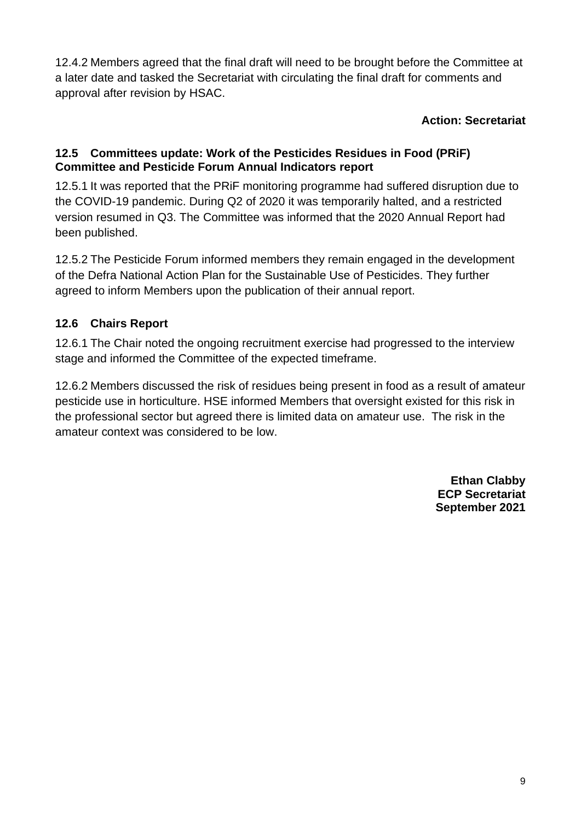12.4.2 Members agreed that the final draft will need to be brought before the Committee at a later date and tasked the Secretariat with circulating the final draft for comments and approval after revision by HSAC.

### **Action: Secretariat**

### **12.5 Committees update: Work of the Pesticides Residues in Food (PRiF) Committee and Pesticide Forum Annual Indicators report**

12.5.1 It was reported that the PRiF monitoring programme had suffered disruption due to the COVID-19 pandemic. During Q2 of 2020 it was temporarily halted, and a restricted version resumed in Q3. The Committee was informed that the 2020 Annual Report had been published.

12.5.2 The Pesticide Forum informed members they remain engaged in the development of the Defra National Action Plan for the Sustainable Use of Pesticides. They further agreed to inform Members upon the publication of their annual report.

### **12.6 Chairs Report**

12.6.1 The Chair noted the ongoing recruitment exercise had progressed to the interview stage and informed the Committee of the expected timeframe.

12.6.2 Members discussed the risk of residues being present in food as a result of amateur pesticide use in horticulture. HSE informed Members that oversight existed for this risk in the professional sector but agreed there is limited data on amateur use. The risk in the amateur context was considered to be low.

> **Ethan Clabby ECP Secretariat September 2021**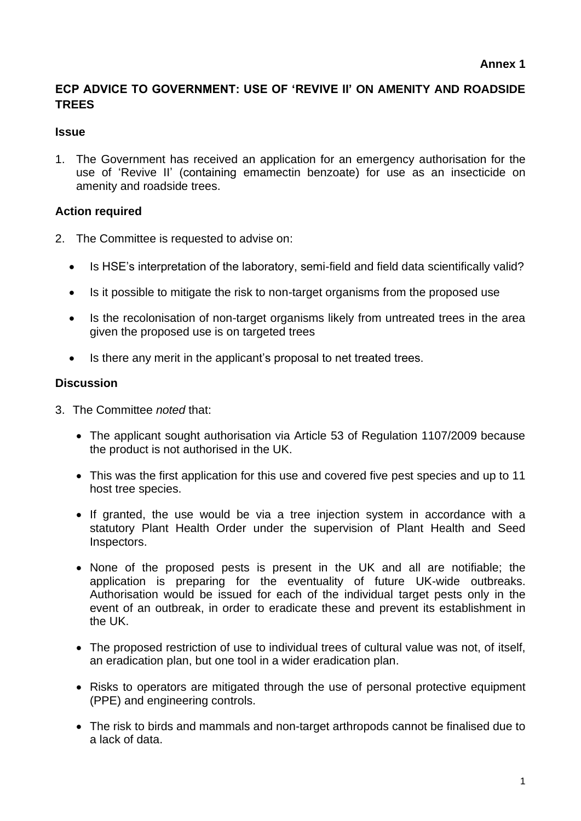### **ECP ADVICE TO GOVERNMENT: USE OF 'REVIVE II' ON AMENITY AND ROADSIDE TREES**

#### **Issue**

1. The Government has received an application for an emergency authorisation for the use of 'Revive II' (containing emamectin benzoate) for use as an insecticide on amenity and roadside trees.

### **Action required**

- 2. The Committee is requested to advise on:
	- Is HSE's interpretation of the laboratory, semi-field and field data scientifically valid?
	- Is it possible to mitigate the risk to non-target organisms from the proposed use
	- Is the recolonisation of non-target organisms likely from untreated trees in the area given the proposed use is on targeted trees
	- Is there any merit in the applicant's proposal to net treated trees.

#### **Discussion**

- 3. The Committee *noted* that:
	- The applicant sought authorisation via Article 53 of Regulation 1107/2009 because the product is not authorised in the UK.
	- This was the first application for this use and covered five pest species and up to 11 host tree species.
	- If granted, the use would be via a tree injection system in accordance with a statutory Plant Health Order under the supervision of Plant Health and Seed Inspectors.
	- None of the proposed pests is present in the UK and all are notifiable; the application is preparing for the eventuality of future UK-wide outbreaks. Authorisation would be issued for each of the individual target pests only in the event of an outbreak, in order to eradicate these and prevent its establishment in the UK.
	- The proposed restriction of use to individual trees of cultural value was not, of itself, an eradication plan, but one tool in a wider eradication plan.
	- Risks to operators are mitigated through the use of personal protective equipment (PPE) and engineering controls.
	- The risk to birds and mammals and non-target arthropods cannot be finalised due to a lack of data.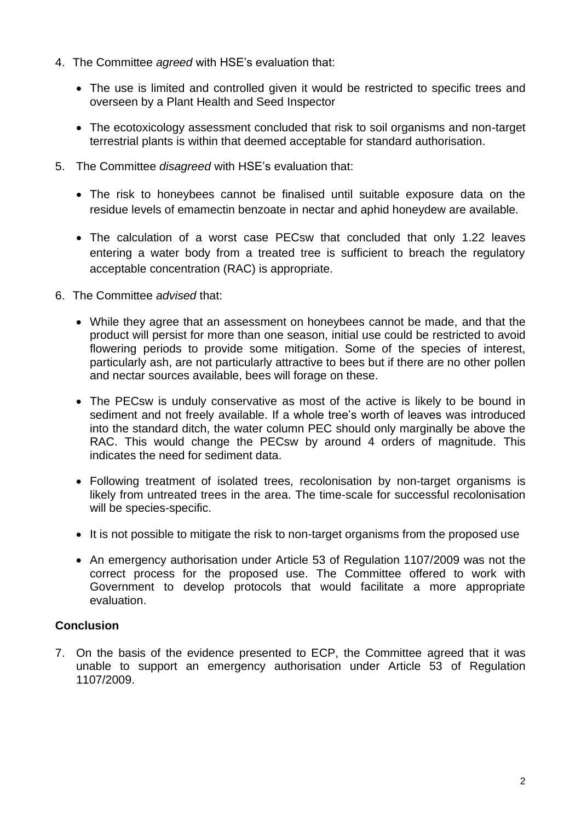- 4. The Committee *agreed* with HSE's evaluation that:
	- The use is limited and controlled given it would be restricted to specific trees and overseen by a Plant Health and Seed Inspector
	- The ecotoxicology assessment concluded that risk to soil organisms and non-target terrestrial plants is within that deemed acceptable for standard authorisation.
- 5. The Committee *disagreed* with HSE's evaluation that:
	- The risk to honeybees cannot be finalised until suitable exposure data on the residue levels of emamectin benzoate in nectar and aphid honeydew are available.
	- The calculation of a worst case PECsw that concluded that only 1.22 leaves entering a water body from a treated tree is sufficient to breach the regulatory acceptable concentration (RAC) is appropriate.
- 6. The Committee *advised* that:
	- While they agree that an assessment on honeybees cannot be made, and that the product will persist for more than one season, initial use could be restricted to avoid flowering periods to provide some mitigation. Some of the species of interest, particularly ash, are not particularly attractive to bees but if there are no other pollen and nectar sources available, bees will forage on these.
	- The PECsw is unduly conservative as most of the active is likely to be bound in sediment and not freely available. If a whole tree's worth of leaves was introduced into the standard ditch, the water column PEC should only marginally be above the RAC. This would change the PECsw by around 4 orders of magnitude. This indicates the need for sediment data.
	- Following treatment of isolated trees, recolonisation by non-target organisms is likely from untreated trees in the area. The time-scale for successful recolonisation will be species-specific.
	- It is not possible to mitigate the risk to non-target organisms from the proposed use
	- An emergency authorisation under Article 53 of Regulation 1107/2009 was not the correct process for the proposed use. The Committee offered to work with Government to develop protocols that would facilitate a more appropriate evaluation.

### **Conclusion**

7. On the basis of the evidence presented to ECP, the Committee agreed that it was unable to support an emergency authorisation under Article 53 of Regulation 1107/2009.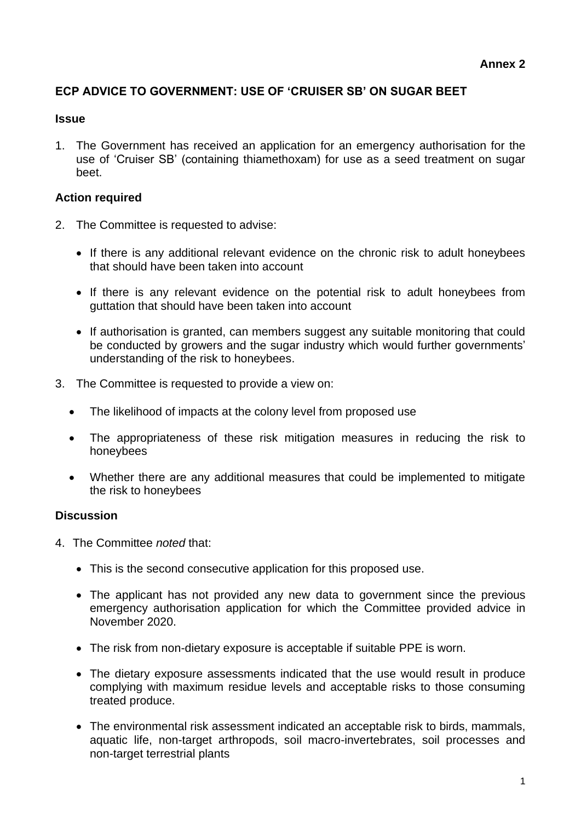### **ECP ADVICE TO GOVERNMENT: USE OF 'CRUISER SB' ON SUGAR BEET**

#### **Issue**

1. The Government has received an application for an emergency authorisation for the use of 'Cruiser SB' (containing thiamethoxam) for use as a seed treatment on sugar beet.

### **Action required**

- 2. The Committee is requested to advise:
	- If there is any additional relevant evidence on the chronic risk to adult honeybees that should have been taken into account
	- If there is any relevant evidence on the potential risk to adult honeybees from guttation that should have been taken into account
	- If authorisation is granted, can members suggest any suitable monitoring that could be conducted by growers and the sugar industry which would further governments' understanding of the risk to honeybees.
- 3. The Committee is requested to provide a view on:
	- The likelihood of impacts at the colony level from proposed use
	- The appropriateness of these risk mitigation measures in reducing the risk to honeybees
	- Whether there are any additional measures that could be implemented to mitigate the risk to honeybees

#### **Discussion**

- 4. The Committee *noted* that:
	- This is the second consecutive application for this proposed use.
	- The applicant has not provided any new data to government since the previous emergency authorisation application for which the Committee provided advice in November 2020.
	- The risk from non-dietary exposure is acceptable if suitable PPE is worn.
	- The dietary exposure assessments indicated that the use would result in produce complying with maximum residue levels and acceptable risks to those consuming treated produce.
	- The environmental risk assessment indicated an acceptable risk to birds, mammals, aquatic life, non-target arthropods, soil macro-invertebrates, soil processes and non-target terrestrial plants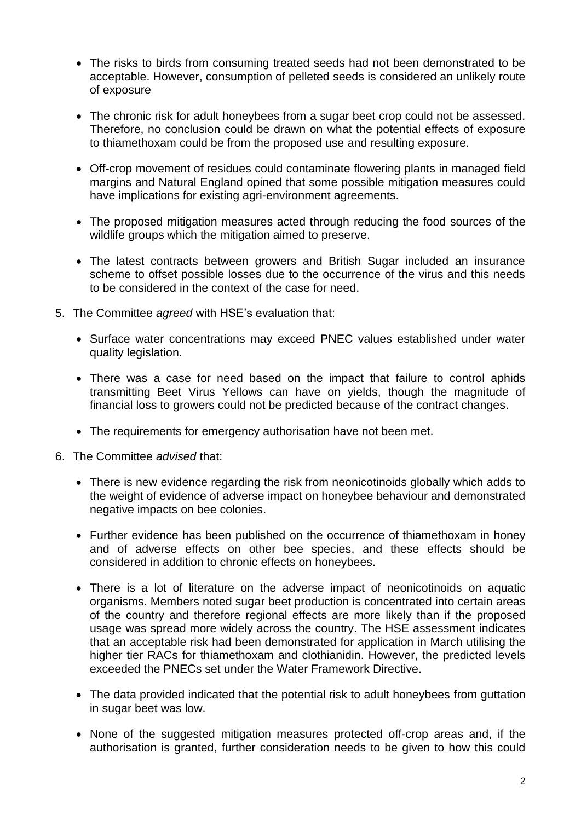- The risks to birds from consuming treated seeds had not been demonstrated to be acceptable. However, consumption of pelleted seeds is considered an unlikely route of exposure
- The chronic risk for adult honeybees from a sugar beet crop could not be assessed. Therefore, no conclusion could be drawn on what the potential effects of exposure to thiamethoxam could be from the proposed use and resulting exposure.
- Off-crop movement of residues could contaminate flowering plants in managed field margins and Natural England opined that some possible mitigation measures could have implications for existing agri-environment agreements.
- The proposed mitigation measures acted through reducing the food sources of the wildlife groups which the mitigation aimed to preserve.
- The latest contracts between growers and British Sugar included an insurance scheme to offset possible losses due to the occurrence of the virus and this needs to be considered in the context of the case for need.
- 5. The Committee *agreed* with HSE's evaluation that:
	- Surface water concentrations may exceed PNEC values established under water quality legislation.
	- There was a case for need based on the impact that failure to control aphids transmitting Beet Virus Yellows can have on yields, though the magnitude of financial loss to growers could not be predicted because of the contract changes.
	- The requirements for emergency authorisation have not been met.
- 6. The Committee *advised* that:
	- There is new evidence regarding the risk from neonicotinoids globally which adds to the weight of evidence of adverse impact on honeybee behaviour and demonstrated negative impacts on bee colonies.
	- Further evidence has been published on the occurrence of thiamethoxam in honey and of adverse effects on other bee species, and these effects should be considered in addition to chronic effects on honeybees.
	- There is a lot of literature on the adverse impact of neonicotinoids on aquatic organisms. Members noted sugar beet production is concentrated into certain areas of the country and therefore regional effects are more likely than if the proposed usage was spread more widely across the country. The HSE assessment indicates that an acceptable risk had been demonstrated for application in March utilising the higher tier RACs for thiamethoxam and clothianidin. However, the predicted levels exceeded the PNECs set under the Water Framework Directive.
	- The data provided indicated that the potential risk to adult honeybees from guttation in sugar beet was low.
	- None of the suggested mitigation measures protected off-crop areas and, if the authorisation is granted, further consideration needs to be given to how this could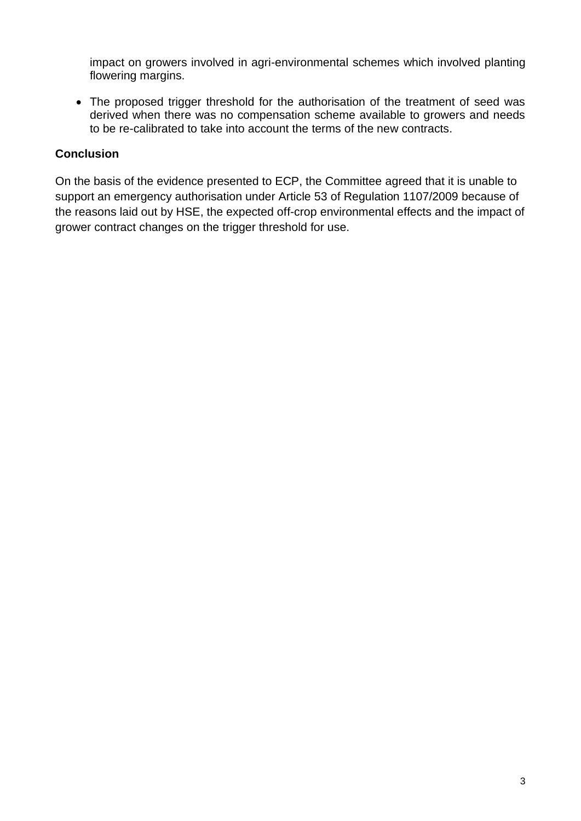impact on growers involved in agri-environmental schemes which involved planting flowering margins.

• The proposed trigger threshold for the authorisation of the treatment of seed was derived when there was no compensation scheme available to growers and needs to be re-calibrated to take into account the terms of the new contracts.

### **Conclusion**

On the basis of the evidence presented to ECP, the Committee agreed that it is unable to support an emergency authorisation under Article 53 of Regulation 1107/2009 because of the reasons laid out by HSE, the expected off-crop environmental effects and the impact of grower contract changes on the trigger threshold for use.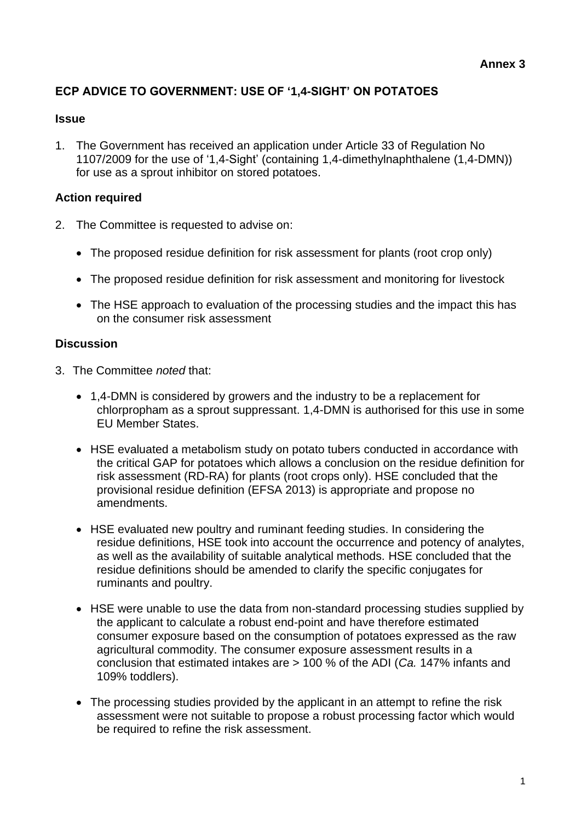### **ECP ADVICE TO GOVERNMENT: USE OF '1,4-SIGHT' ON POTATOES**

#### **Issue**

1. The Government has received an application under Article 33 of Regulation No 1107/2009 for the use of '1,4-Sight' (containing 1,4-dimethylnaphthalene (1,4-DMN)) for use as a sprout inhibitor on stored potatoes.

### **Action required**

- 2. The Committee is requested to advise on:
	- The proposed residue definition for risk assessment for plants (root crop only)
	- The proposed residue definition for risk assessment and monitoring for livestock
	- The HSE approach to evaluation of the processing studies and the impact this has on the consumer risk assessment

#### **Discussion**

- 3. The Committee *noted* that:
	- 1,4-DMN is considered by growers and the industry to be a replacement for chlorpropham as a sprout suppressant. 1,4-DMN is authorised for this use in some EU Member States.
	- HSE evaluated a metabolism study on potato tubers conducted in accordance with the critical GAP for potatoes which allows a conclusion on the residue definition for risk assessment (RD-RA) for plants (root crops only). HSE concluded that the provisional residue definition (EFSA 2013) is appropriate and propose no amendments.
	- HSE evaluated new poultry and ruminant feeding studies. In considering the residue definitions, HSE took into account the occurrence and potency of analytes, as well as the availability of suitable analytical methods. HSE concluded that the residue definitions should be amended to clarify the specific conjugates for ruminants and poultry.
	- HSE were unable to use the data from non-standard processing studies supplied by the applicant to calculate a robust end-point and have therefore estimated consumer exposure based on the consumption of potatoes expressed as the raw agricultural commodity. The consumer exposure assessment results in a conclusion that estimated intakes are > 100 % of the ADI (*Ca.* 147% infants and 109% toddlers).
	- The processing studies provided by the applicant in an attempt to refine the risk assessment were not suitable to propose a robust processing factor which would be required to refine the risk assessment.